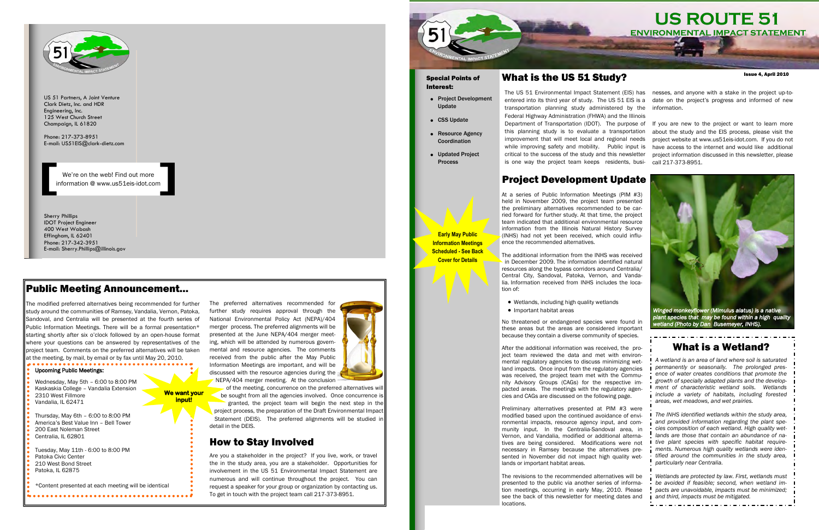We're on the web! Find out more information @ www.us51eis-idot.com

Sherry Phillips IDOT Project Engineer 400 West Wabash Effingham, IL 62401 Phone: 217-342-3951 E-mail: Sherry.Phillips@illinois.gov



US 51 Partners, A Joint Venture Clark Dietz, Inc. and HDR Engineering, Inc. 125 West Church Street Champaign, IL 61820

Phone: 217-373-8951 E-mail: US51EIS@clark-dietz.com

> The preferred alternatives recommended for further study requires approval through the National Environmental Policy Act (NEPA)/404 merger process. The preferred alignments will be presented at the June NEPA/404 merger meeting, which will be attended by numerous governmental and resource agencies. The comments received from the public after the May Public Information Meetings are important, and will be discussed with the resource agencies during the NEPA/404 merger meeting. At the conclusion



The modified preferred alternatives being recommended for further study around the communities of Ramsey, Vandalia, Vernon, Patoka, Sandoval, and Centralia will be presented at the fourth series of Public Information Meetings. There will be a formal presentation\* starting shortly after six o'clock followed by an open-house format where your questions can be answered by representatives of the project team. Comments on the preferred alternatives will be taken at the meeting, by mail, by email or by fax until May 20, 2010.

> of the meeting, concurrence on the preferred alternatives will be sought from all the agencies involved. Once concurrence is granted, the project team will begin the next step in the project process, the preparation of the Draft Environmental Impact Statement (DEIS). The preferred alignments will be studied in detail in the DEIS.

#### Public Meeting Announcement...

Are you a stakeholder in the project? If you live, work, or travel the in the study area, you are a stakeholder. Opportunities for involvement in the US 51 Environmental Impact Statement are numerous and will continue throughout the project. You can request a speaker for your group or organization by contacting us. To get in touch with the project team call 217-373-8951.



- Project Development Update
- CSS Update
- Resource Agency Coordination
- Updated Project Process

#### Upcoming Public Meetings:

- lia. Information received from INHS includes the location of:
- Wetlands, including high quality wetlands
- Important habitat areas

Wednesday, May 5th – 6:00 to 8:00 PM Kaskaskia College – Vandalia Extension 2310 West Fillmore Vandalia, IL 62471

Thursday, May 6th – 6:00 to 8:00 PM America's Best Value Inn – Bell Tower 200 East Noleman Street Centralia, IL 62801

Tuesday, May 11th - 6:00 to 8:00 PM Patoka Civic Center 210 West Bond Street Patoka, IL 62875

\*Content presented at each meeting will be identical

After the additional information was received, the project team reviewed the data and met with environmental regulatory agencies to discuss minimizing wetland impacts. Once input from the regulatory agencies was received, the project team met with the Community Advisory Groups (CAGs) for the respective impacted areas. The meetings with the regulatory agencies and CAGs are discussed on the following page.

#### How to Stay Involved

**We want your input!** 

### What is the US 51 Study?

# **US ROUTE 51 ENVIRONMENTAL IMPACT STATEMENT**

Issue 4, April 2010

transportation planning study administered by the Federal Highway Administration (FHWA) and the Illinois this planning study is to evaluate a transportation improvement that will meet local and regional needs critical to the success of the study and this newsletter is one way the project team keeps residents, busi-

The US 51 Environmental Impact Statement (EIS) has nesses, and anyone with a stake in the project up-toentered into its third year of study. The US 51 EIS is a date on the project's progress and informed of new information.

Department of Transportation (IDOT). The purpose of If you are new to the project or want to learn more while improving safety and mobility. Public input is have access to the internet and would like additional about the study and the EIS process, please visit the project website at www.us51eis-idot.com. If you do not project information discussed in this newsletter, please call 217-373-8951.

#### Special Points of Interest:

At a series of Public Information Meetings (PIM #3) held in November 2009, the project team presented the preliminary alternatives recommended to be carried forward for further study. At that time, the project team indicated that additional environmental resource information from the Illinois Natural History Survey

(INHS) had not yet been received, which could influence the recommended alternatives. The additional information from the INHS was received in December 2009. The information identified natural resources along the bypass corridors around Centralia/

Central City, Sandoval, Patoka, Vernon, and Vanda-

No threatened or endangered species were found in these areas but the areas are considered important because they contain a diverse community of species.

Preliminary alternatives presented at PIM #3 were modified based upon the continued avoidance of environmental impacts, resource agency input, and community input. In the Centralia-Sandoval area, in Vernon, and Vandalia, modified or additional alternatives are being considered. Modifications were not necessary in Ramsey because the alternatives presented in November did not impact high quality wetlands or important habitat areas.

The revisions to the recommended alternatives will be presented to the public via another series of information meetings, occurring in early May, 2010. Please see the back of this newsletter for meeting dates and locations.



*plant species that may be found within a high quality wetland (Photo by Dan Busemeyer, INHS).* 

**Early May Public Information Meetings Scheduled - See Back Cover for Details**

#### What is a Wetland?

*A wetland is an area of land where soil is saturated permanently or seasonally. The prolonged presence of water creates conditions that promote the growth of specially adapted plants and the development of characteristic wetland soils. Wetlands include a variety of habitats, including forested areas, wet meadows, and wet prairies.* 

*The INHS identified wetlands within the study area, and provided information regarding the plant species composition of each wetland. High quality wetlands are those that contain an abundance of native plant species with specific habitat requirements. Numerous high quality wetlands were identified around the communities in the study area, particularly near Centralia.* 

*Wetlands are protected by law. First, wetlands must be avoided if feasible; second, when wetland impacts are unavoidable, impacts must be minimized; and third, impacts must be mitigated.*

# Project Development Update